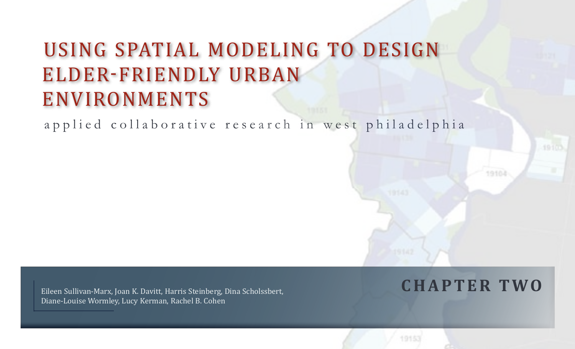# Using Spatial Modeling to Design Elder-Friendly Urban **ENVIRONMENTS**

a p p l i e d c o l l a b o r a t i v e r e s e a r c h i n w e s t p h i l a d e l p h i a

Eileen Sullivan-Marx, Joan K. Davitt, Harris Steinberg, Dina Scholssbert, **C H A P T E R T W O** 

19102

Diane-Louise Wormley, Lucy Kerman, Rachel B. Cohen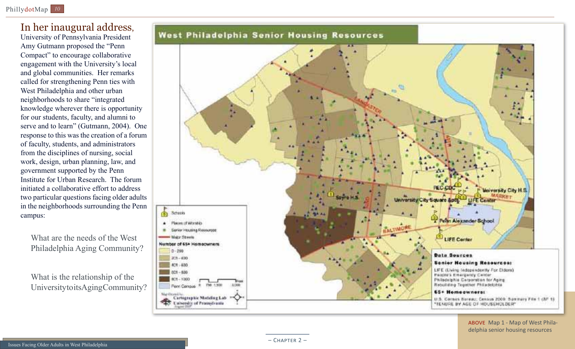# In her inaugural address,

University of Pennsylvania President Amy Gutmann proposed the "Penn Compact" to encourage collaborative engagement with the University's local and global communities. Her remarks called for strengthening Penn ties with West Philadelphia and other urban neighborhoods to share "integrated knowledge wherever there is opportunity for our students, faculty, and alumni to serve and to learn" (Gutmann, 2004). One response to this was the creation of a forum of faculty, students, and administrators from the disciplines of nursing, social work, design, urban planning, law, and government supported by the Penn Institute for Urban Research. The forum initiated a collaborative effort to address two particular questions facing older adults in the neighborhoods surrounding the Penn campus:

What are the needs of the West Philadelphia Aging Community?

What is the relationship of the University to its Aging Community?





ABOVE Map 1 - Map of West Philadelphia senior housing resources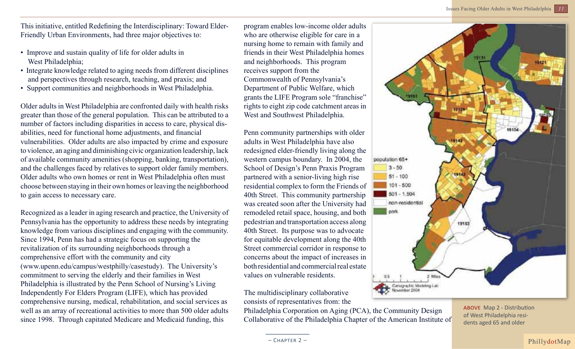This initiative, entitled Redefining the Interdisciplinary: Toward Elder-Friendly Urban Environments, had three major objectives to:

- Improve and sustain quality of life for older adults in West Philadelphia;
- Integrate knowledge related to aging needs from different disciplines and perspectives through research, teaching, and praxis; and
- Support communities and neighborhoods in West Philadelphia.

Older adults in West Philadelphia are confronted daily with health risks greater than those of the general population. This can be attributed to a number of factors including disparities in access to care, physical disabilities, need for functional home adjustments, and financial vulnerabilities. Older adults are also impacted by crime and exposure to violence, an aging and diminishing civic organization leadership, lack of available community amenities (shopping, banking, transportation), and the challenges faced by relatives to support older family members. Older adults who own homes or rent in West Philadelphia often must choose between staying in their own homes or leaving the neighborhood to gain access to necessary care.

Recognized as a leader in aging research and practice, the University of Pennsylvania has the opportunity to address these needs by integrating knowledge from various disciplines and engaging with the community. Since 1994, Penn has had a strategic focus on supporting the revitalization of its surrounding neighborhoods through a comprehensive effort with the community and city (www.upenn.edu/campus/westphilly/casestudy). The University's commitment to serving the elderly and their families in West Philadelphia is illustrated by the Penn School of Nursing's Living Independently For Elders Program (LIFE), which has provided comprehensive nursing, medical, rehabilitation, and social services as well as an array of recreational activities to more than 500 older adults since 1998. Through capitated Medicare and Medicaid funding, this

program enables low-income older adults who are otherwise eligible for care in a nursing home to remain with family and friends in their West Philadelphia homes and neighborhoods. This program receives support from the Commonwealth of Pennsylvania's Department of Public Welfare, which grants the LIFE Program sole "franchise" rights to eight zip code catchment areas in West and Southwest Philadelphia.

Penn community partnerships with older adults in West Philadelphia have also redesigned elder-friendly living along the western campus boundary. In 2004, the School of Design's Penn Praxis Program partnered with a senior-living high rise residential complex to form the Friends of 40th Street. This community partnership was created soon after the University had remodeled retail space, housing, and both pedestrian and transportation access along 40th Street. Its purpose was to advocate for equitable development along the 40th Street commercial corridor in response to concerns about the impact of increases in both residential and commercial real estate values on vulnerable residents.

The multidisciplinary collaborative consists of representatives from: the

Philadelphia Corporation on Aging (PCA), the Community Design Collaborative of the Philadelphia Chapter of the American Institute of



above Map 2 - Distribution of West Philadelphia residents aged 65 and older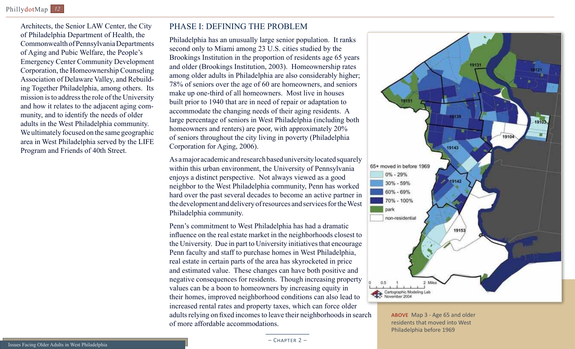Architects, the Senior LAW Center, the City of Philadelphia Department of Health, the Commonwealth of Pennsylvania Departments of Aging and Pubic Welfare, the People's Emergency Center Community Development Corporation, the Homeownership Counseling Association of Delaware Valley, and Rebuilding Together Philadelphia, among others. Its mission is to address the role of the University and how it relates to the adjacent aging community, and to identify the needs of older adults in the West Philadelphia community. We ultimately focused on the same geographic area in West Philadelphia served by the LIFE Program and Friends of 40th Street.

#### Phase I: Defining the Problem

Philadelphia has an unusually large senior population. It ranks second only to Miami among 23 U.S. cities studied by the Brookings Institution in the proportion of residents age 65 years and older (Brookings Institution, 2003). Homeownership rates among older adults in Philadelphia are also considerably higher; 78% of seniors over the age of 60 are homeowners, and seniors make up one-third of all homeowners. Most live in houses built prior to 1940 that are in need of repair or adaptation to accommodate the changing needs of their aging residents. A large percentage of seniors in West Philadelphia (including both homeowners and renters) are poor, with approximately 20% of seniors throughout the city living in poverty (Philadelphia Corporation for Aging, 2006).

As a major academic and research based university located squarely within this urban environment, the University of Pennsylvania enjoys a distinct perspective. Not always viewed as a good neighbor to the West Philadelphia community, Penn has worked hard over the past several decades to become an active partner in the development and delivery of resources and services for the West Philadelphia community.

Penn's commitment to West Philadelphia has had a dramatic influence on the real estate market in the neighborhoods closest to the University. Due in part to University initiatives that encourage Penn faculty and staff to purchase homes in West Philadelphia, real estate in certain parts of the area has skyrocketed in price and estimated value. These changes can have both positive and negative consequences for residents. Though increasing property values can be a boon to homeowners by increasing equity in their homes, improved neighborhood conditions can also lead to increased rental rates and property taxes, which can force older adults relying on fixed incomes to leave their neighborhoods in search of more affordable accommodations.



above Map 3 - Age 65 and older residents that moved into West Philadelphia before 1969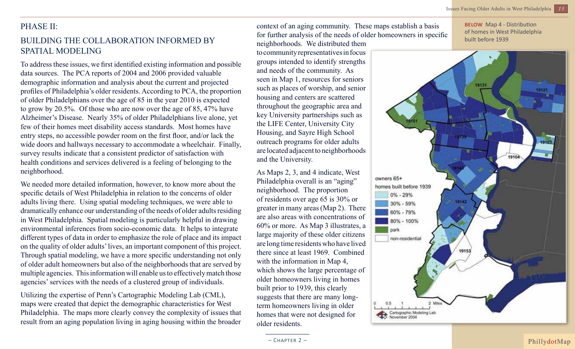#### PHASE II:

## Building the Collaboration Informed by Spatial modeling

To address these issues, we first identified existing information and possible data sources. The PCA reports of 2004 and 2006 provided valuable demographic information and analysis about the current and projected profiles of Philadelphia's older residents. According to PCA, the proportion of older Philadelphians over the age of 85 in the year 2010 is expected to grow by 20.5%. Of those who are now over the age of 85, 47% have Alzheimer's Disease. Nearly 35% of older Philadelphians live alone, yet few of their homes meet disability access standards. Most homes have entry steps, no accessible powder room on the first floor, and/or lack the wide doors and hallways necessary to accommodate a wheelchair. Finally, survey results indicate that a consistent predictor of satisfaction with health conditions and services delivered is a feeling of belonging to the neighborhood.

We needed more detailed information, however, to know more about the specific details of West Philadelphia in relation to the concerns of older adults living there. Using spatial modeling techniques, we were able to dramatically enhance our understanding of the needs of older adults residing in West Philadelphia. Spatial modeling is particularly helpful in drawing environmental inferences from socio-economic data. It helps to integrate different types of data in order to emphasize the role of place and its impact on the quality of older adults' lives, an important component of this project. Through spatial modeling, we have a more specific understanding not only of older adult homeowners but also of the neighborhoods that are served by multiple agencies. This information will enable us to effectively match those agencies' services with the needs of a clustered group of individuals.

Utilizing the expertise of Penn's Cartographic Modeling Lab (CML), maps were created that depict the demographic characteristics for West Philadelphia. The maps more clearly convey the complexity of issues that result from an aging population living in aging housing within the broader

context of an aging community. These maps establish a basis for further analysis of the needs of older homeowners in specific neighborhoods. We distributed them

to community representatives in focus groups intended to identify strengths and needs of the community. As seen in Map 1, resources for seniors such as places of worship, and senior housing and centers are scattered throughout the geographic area and key University partnerships such as the LIFE Center, University City Housing, and Sayre High School outreach programs for older adults are located adjacent to neighborhoods and the University.

As Maps 2, 3, and 4 indicate, West Philadelphia overall is an "aging" neighborhood. The proportion of residents over age 65 is 30% or greater in many areas (Map 2). There are also areas with concentrations of 60% or more. As Map 3 illustrates, a large majority of these older citizens are long time residents who have lived there since at least 1969. Combined with the information in Map 4, which shows the large percentage of older homeowners living in homes built prior to 1939, this clearly suggests that there are many longterm homeowners living in older homes that were not designed for older residents.

below Map 4 - Distribution of homes in West Philadelphia built before 1939

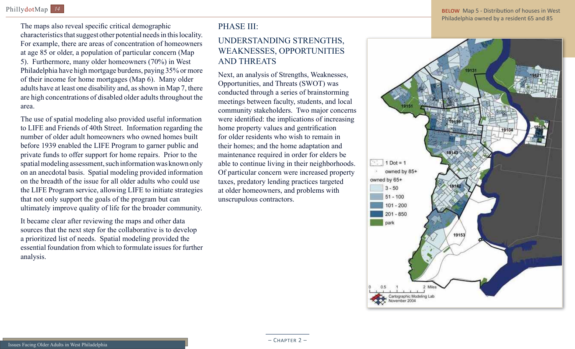The maps also reveal specific critical demographic characteristics that suggest other potential needs in this locality. For example, there are areas of concentration of homeowners at age 85 or older, a population of particular concern (Map 5). Furthermore, many older homeowners (70%) in West Philadelphia have high mortgage burdens, paying 35% or more of their income for home mortgages (Map 6). Many older adults have at least one disability and, as shown in Map 7, there are high concentrations of disabled older adults throughout the area.

The use of spatial modeling also provided useful information to LIFE and Friends of 40th Street. Information regarding the number of older adult homeowners who owned homes built before 1939 enabled the LIFE Program to garner public and private funds to offer support for home repairs. Prior to the spatial modeling assessment, such information was known only on an anecdotal basis. Spatial modeling provided information on the breadth of the issue for all older adults who could use the LIFE Program service, allowing LIFE to initiate strategies that not only support the goals of the program but can ultimately improve quality of life for the broader community.

It became clear after reviewing the maps and other data sources that the next step for the collaborative is to develop a prioritized list of needs. Spatial modeling provided the essential foundation from which to formulate issues for further analysis.

## PHASE III:

## Understanding Strengths, Weaknesses, Opportunities and Threats

Next, an analysis of Strengths, Weaknesses, Opportunities, and Threats (SWOT) was conducted through a series of brainstorming meetings between faculty, students, and local community stakeholders. Two major concerns were identified: the implications of increasing home property values and gentrification for older residents who wish to remain in their homes; and the home adaptation and maintenance required in order for elders be able to continue living in their neighborhoods. Of particular concern were increased property taxes, predatory lending practices targeted at older homeowners, and problems with unscrupulous contractors.

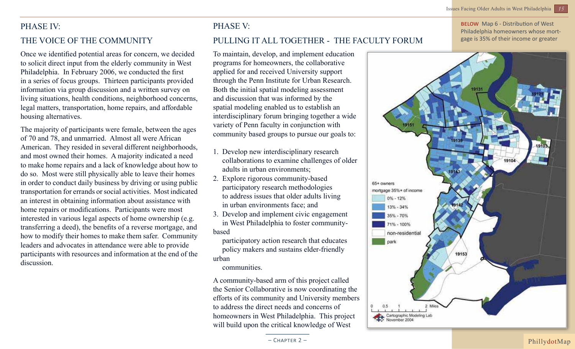### PHASE IV:

#### THE VOICE OF THE COMMUNITY

Once we identified potential areas for concern, we decided to solicit direct input from the elderly community in West Philadelphia. In February 2006, we conducted the first in a series of focus groups. Thirteen participants provided information via group discussion and a written survey on living situations, health conditions, neighborhood concerns, legal matters, transportation, home repairs, and affordable housing alternatives.

The majority of participants were female, between the ages of 70 and 78, and unmarried. Almost all were African American. They resided in several different neighborhoods, and most owned their homes. A majority indicated a need to make home repairs and a lack of knowledge about how to do so. Most were still physically able to leave their homes in order to conduct daily business by driving or using public transportation for errands or social activities. Most indicated an interest in obtaining information about assistance with home repairs or modifications. Participants were most interested in various legal aspects of home ownership (e.g. transferring a deed), the benefits of a reverse mortgage, and how to modify their homes to make them safer. Community leaders and advocates in attendance were able to provide participants with resources and information at the end of the discussion.

## PHASE V: Pulling it all together - The Faculty Forum

To maintain, develop, and implement education programs for homeowners, the collaborative applied for and received University support through the Penn Institute for Urban Research. Both the initial spatial modeling assessment and discussion that was informed by the spatial modeling enabled us to establish an interdisciplinary forum bringing together a wide variety of Penn faculty in conjunction with community based groups to pursue our goals to:

- 1. Develop new interdisciplinary research collaborations to examine challenges of older adults in urban environments;
- 2. Explore rigorous community-based participatory research methodologies to address issues that older adults living in urban environments face; and
- 3. Develop and implement civic engagement in West Philadelphia to foster communitybased

 participatory action research that educates policy makers and sustains elder-friendly urban

communities.

A community-based arm of this project called the Senior Collaborative is now coordinating the efforts of its community and University members to address the direct needs and concerns of homeowners in West Philadelphia. This project will build upon the critical knowledge of West

BELOW Map 6 - Distribution of West Philadelphia homeowners whose mortgage is 35% of their income or greater